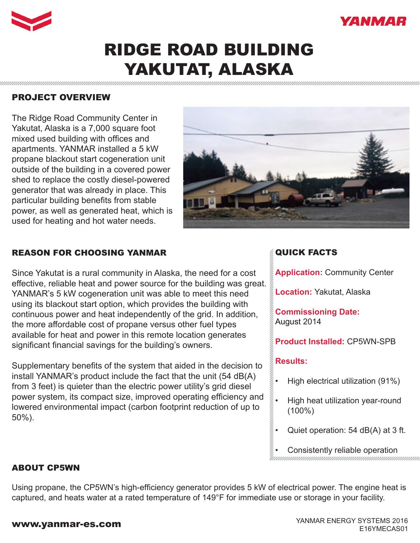



# RIDGE ROAD BUILDING YAKUTAT, ALASKA

## PROJECT OVERVIEW

The Ridge Road Community Center in Yakutat, Alaska is a 7,000 square foot mixed used building with offices and apartments. YANMAR installed a 5 kW propane blackout start cogeneration unit outside of the building in a covered power shed to replace the costly diesel-powered generator that was already in place. This particular building benefits from stable power, as well as generated heat, which is used for heating and hot water needs.



### REASON FOR CHOOSING YANMAR

Since Yakutat is a rural community in Alaska, the need for a cost effective, reliable heat and power source for the building was great. YANMAR's 5 kW cogeneration unit was able to meet this need using its blackout start option, which provides the building with continuous power and heat independently of the grid. In addition, the more affordable cost of propane versus other fuel types available for heat and power in this remote location generates significant financial savings for the building's owners.

Supplementary benefits of the system that aided in the decision to install YANMAR's product include the fact that the unit (54 dB(A) from 3 feet) is quieter than the electric power utility's grid diesel power system, its compact size, improved operating efficiency and lowered environmental impact (carbon footprint reduction of up to 50%).

## QUICK FACTS

**Application:** Community Center

**Location:** Yakutat, Alaska

**Commissioning Date:**  August 2014

**Product Installed:** CP5WN-SPB

#### **Results:**

- High electrical utilization (91%)
- High heat utilization year-round (100%)
- Quiet operation: 54 dB(A) at 3 ft.
- Consistently reliable operation ,,,,,,,,,,,,,,,,,,,,,,,,,,,,,,,

#### ABOUT CP5WN

Using propane, the CP5WN's high-efficiency generator provides 5 kW of electrical power. The engine heat is captured, and heats water at a rated temperature of 149°F for immediate use or storage in your facility.